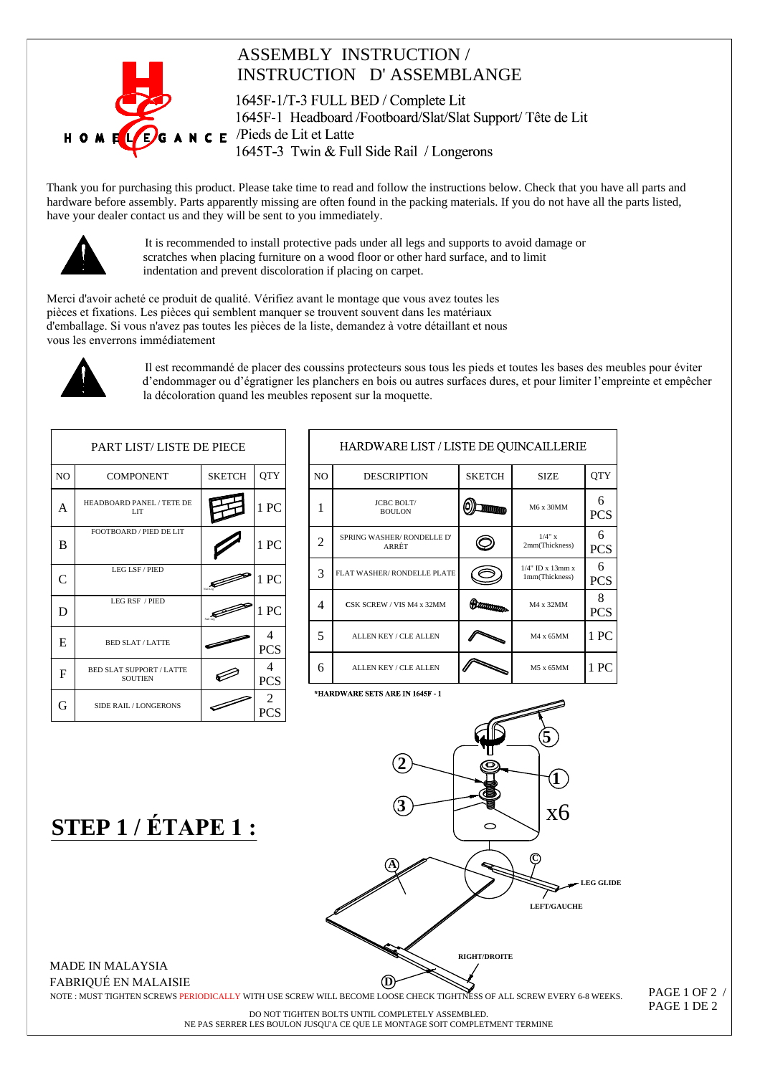

## **ASSEMBLY INSTRUCTION / INSTRUCTION D'ASSEMBLANGE**

1645F-1/T-3 FULL BED / Complete Lit 1645F-1 Headboard/Footboard/Slat/Slat Support/Tête de Lit  $\mathbf{N} \in \mathbf{F}$  /Pieds de Lit et Latte 1645T-3 Twin & Full Side Rail / Longerons

Thank you for purchasing this product. Please take time to read and follow the instructions below. Check that you have all parts and hardware before assembly. Parts apparently missing are often found in the packing materials. If you do not have all the parts listed, have your dealer contact us and they will be sent to you immediately.



It is recommended to install protective pads under all legs and supports to avoid damage or scratches when placing furniture on a wood floor or other hard surface, and to limit indentation and prevent discoloration if placing on carpet.

Merci d'avoir acheté ce produit de qualité. Vérifiez avant le montage que vous avez toutes les pièces et fixations. Les pièces qui semblent manquer se trouvent souvent dans les matériaux d'emballage. Si vous n'avez pas toutes les pièces de la liste, demandez à votre détaillant et nous vous les enverrons immédiatement



Il est recommandé de placer des coussins protecteurs sous tous les pieds et toutes les bases des meubles pour éviter d'endommager ou d'égratigner les planchers en bois ou autres surfaces dures, et pour limiter l'empreinte et empêcher la décoloration quand les meubles reposent sur la moquette.

| <b>PART LIST/LISTE DE PIECE</b> |                                                   |               |                 |  | <b>HARDWARE LIST/</b>         |                                    |  |
|---------------------------------|---------------------------------------------------|---------------|-----------------|--|-------------------------------|------------------------------------|--|
| NO                              | <b>COMPONENT</b>                                  | <b>SKETCH</b> | <b>QTY</b>      |  | N <sub>O</sub>                | <b>DESCRIPTION</b>                 |  |
| A                               | HEADBOARD PANEL / TETE DE<br><b>LIT</b>           |               | 1 PC            |  | 1                             | <b>JCBC BOLT/</b><br><b>BOULON</b> |  |
| B                               | FOOTBOARD / PIED DE LIT                           |               | 1 PC            |  | 2                             | SPRING WASHER/RONDELLE<br>ARRÊT    |  |
| C                               | LEG LSF / PIED                                    | san E         | 1 PC            |  | 3                             | FLAT WASHER/RONDELLE PL            |  |
| D                               | LEG RSF / PIED                                    |               | 1PC             |  | 4                             | CSK SCREW / VIS M4 x 32MI          |  |
| E                               | <b>BED SLAT/LATTE</b>                             |               | 4<br><b>PCS</b> |  | 5                             | ALLEN KEY / CLE ALLEN              |  |
| F                               | <b>BED SLAT SUPPORT / LATTE</b><br><b>SOUTIEN</b> |               | 4<br><b>PCS</b> |  | 6                             | ALLEN KEY / CLE ALLEN              |  |
| G                               | SIDE RAIL/LONGERONS                               |               | 2<br><b>PCS</b> |  | *HARDWARE SETS ARE IN 1645F 1 |                                    |  |
|                                 |                                                   |               |                 |  |                               |                                    |  |

| HARDWARE LIST / LISTE DE QUINCAILLERIE |                                    |                       |                                          |                 |  |  |  |  |  |
|----------------------------------------|------------------------------------|-----------------------|------------------------------------------|-----------------|--|--|--|--|--|
| N <sub>O</sub>                         | <b>DESCRIPTION</b>                 | <b>SKETCH</b>         | <b>SIZE</b>                              | <b>OTY</b>      |  |  |  |  |  |
| 1                                      | <b>JCBC BOLT/</b><br><b>BOULON</b> |                       | M6 x 30MM                                | 6<br><b>PCS</b> |  |  |  |  |  |
| 2                                      | SPRING WASHER/RONDELLE D'<br>ARRÊT |                       | $1/4$ " x<br>2mm(Thickness)              | 6<br><b>PCS</b> |  |  |  |  |  |
| 3                                      | FLAT WASHER/RONDELLE PLATE         |                       | $1/4$ " ID x $13$ mm x<br>1mm(Thickness) | 6<br><b>PCS</b> |  |  |  |  |  |
| 4                                      | CSK SCREW / VIS M4 x 32MM          | <b><i>TOTORIA</i></b> | M4 x 32MM                                | 8<br><b>PCS</b> |  |  |  |  |  |
| 5                                      | <b>ALLEN KEY / CLE ALLEN</b>       |                       | M4 x 65MM                                | 1 PC            |  |  |  |  |  |
| 6                                      | <b>ALLEN KEY / CLE ALLEN</b>       |                       | M5 x 65MM                                | 1 PC            |  |  |  |  |  |

STEP 1 / ÉTAPE 1:



**MADE IN MALAYSIA FABRIOUÉ EN MALAISIE** 

NOTE : MUST TIGHTEN SCREWS PERIODICALLY WITH USE SCREW WILL BECOME LOOSE CHECK TIGHTNESS OF ALL SCREW EVERY 6-8 WEEKS.

PAGE 1 OF 2 / PAGE 1 DE 2

DO NOT TIGHTEN BOLTS UNTIL COMPLETELY ASSEMBLED. NE PAS SERRER LES BOULON JUSQU'A CE QUE LE MONTAGE SOIT COMPLETMENT TERMINE